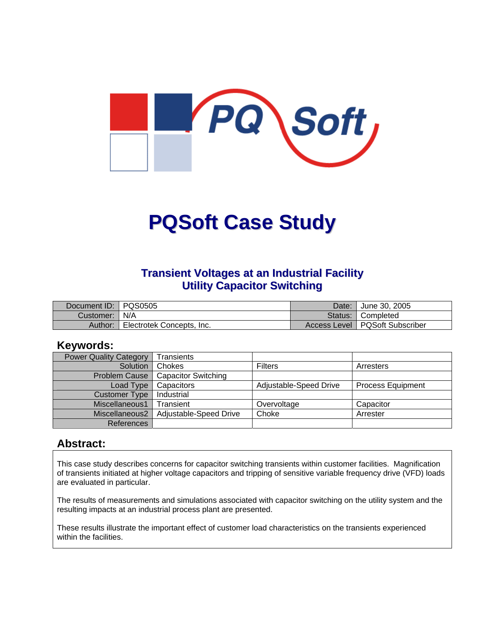

# **PQSoft Case Study**

#### **Transient Voltages at an Industrial Facility Utility Capacitor Switching**

| Document ID:   PQS0505 |                                  | Date: l | <sup>1</sup> June 30, 2005       |
|------------------------|----------------------------------|---------|----------------------------------|
| Customer:   N/A        |                                  |         | Status: Completed                |
| Author:                | <b>Electrotek Concepts, Inc.</b> |         | Access Level   PQSoft Subscriber |

#### **Keywords:**

| <b>Power Quality Category</b> | <b>Transients</b>          |                        |                          |  |
|-------------------------------|----------------------------|------------------------|--------------------------|--|
| Solution                      | Chokes                     | <b>Filters</b>         | Arresters                |  |
| <b>Problem Cause</b>          | <b>Capacitor Switching</b> |                        |                          |  |
| Load Type                     | Capacitors                 | Adjustable-Speed Drive | <b>Process Equipment</b> |  |
| <b>Customer Type</b>          | Industrial                 |                        |                          |  |
| Miscellaneous1                | Transient                  | Overvoltage            | Capacitor                |  |
| Miscellaneous2                | Adjustable-Speed Drive     | Choke                  | Arrester                 |  |
| References                    |                            |                        |                          |  |

#### **Abstract:**

This case study describes concerns for capacitor switching transients within customer facilities. Magnification of transients initiated at higher voltage capacitors and tripping of sensitive variable frequency drive (VFD) loads are evaluated in particular.

The results of measurements and simulations associated with capacitor switching on the utility system and the resulting impacts at an industrial process plant are presented.

These results illustrate the important effect of customer load characteristics on the transients experienced within the facilities.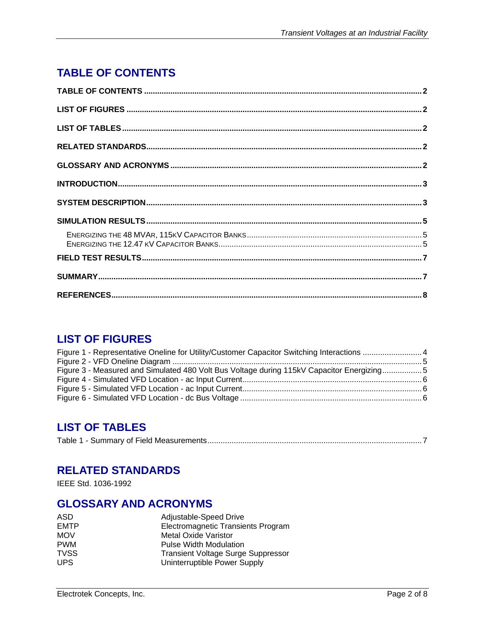# <span id="page-1-0"></span>**TABLE OF CONTENTS**

## **LIST OF FIGURES**

| Figure 1 - Representative Oneline for Utility/Customer Capacitor Switching Interactions 4 |  |
|-------------------------------------------------------------------------------------------|--|
|                                                                                           |  |
| Figure 3 - Measured and Simulated 480 Volt Bus Voltage during 115kV Capacitor Energizing5 |  |
|                                                                                           |  |
|                                                                                           |  |
|                                                                                           |  |

# **LIST OF TABLES**

| Table 1 - |
|-----------|
|-----------|

#### **RELATED STANDARDS**

IEEE Std. 1036-1992

## **GLOSSARY AND ACRONYMS**

| ASD         | Adjustable-Speed Drive                    |
|-------------|-------------------------------------------|
| <b>EMTP</b> | Electromagnetic Transients Program        |
| <b>MOV</b>  | <b>Metal Oxide Varistor</b>               |
| <b>PWM</b>  | <b>Pulse Width Modulation</b>             |
| <b>TVSS</b> | <b>Transient Voltage Surge Suppressor</b> |
| UPS.        | Uninterruptible Power Supply              |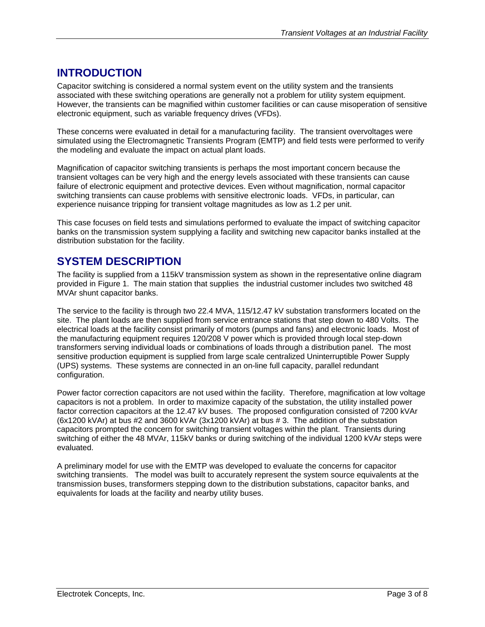## <span id="page-2-0"></span>**INTRODUCTION**

Capacitor switching is considered a normal system event on the utility system and the transients associated with these switching operations are generally not a problem for utility system equipment. However, the transients can be magnified within customer facilities or can cause misoperation of sensitive electronic equipment, such as variable frequency drives (VFDs).

These concerns were evaluated in detail for a manufacturing facility. The transient overvoltages were simulated using the Electromagnetic Transients Program (EMTP) and field tests were performed to verify the modeling and evaluate the impact on actual plant loads.

Magnification of capacitor switching transients is perhaps the most important concern because the transient voltages can be very high and the energy levels associated with these transients can cause failure of electronic equipment and protective devices. Even without magnification, normal capacitor switching transients can cause problems with sensitive electronic loads. VFDs, in particular, can experience nuisance tripping for transient voltage magnitudes as low as 1.2 per unit.

This case focuses on field tests and simulations performed to evaluate the impact of switching capacitor banks on the transmission system supplying a facility and switching new capacitor banks installed at the distribution substation for the facility.

## **SYSTEM DESCRIPTION**

The facility is supplied from a 115kV transmission system as shown in the representative online diagram provided in [Figure 1.](#page-3-1) The main station that supplies the industrial customer includes two switched 48 MVAr shunt capacitor banks.

The service to the facility is through two 22.4 MVA, 115/12.47 kV substation transformers located on the site. The plant loads are then supplied from service entrance stations that step down to 480 Volts. The electrical loads at the facility consist primarily of motors (pumps and fans) and electronic loads. Most of the manufacturing equipment requires 120/208 V power which is provided through local step-down transformers serving individual loads or combinations of loads through a distribution panel. The most sensitive production equipment is supplied from large scale centralized Uninterruptible Power Supply (UPS) systems. These systems are connected in an on-line full capacity, parallel redundant configuration.

Power factor correction capacitors are not used within the facility. Therefore, magnification at low voltage capacitors is not a problem. In order to maximize capacity of the substation, the utility installed power factor correction capacitors at the 12.47 kV buses. The proposed configuration consisted of 7200 kVAr (6x1200 kVAr) at bus #2 and 3600 kVAr (3x1200 kVAr) at bus # 3. The addition of the substation capacitors prompted the concern for switching transient voltages within the plant. Transients during switching of either the 48 MVAr, 115kV banks or during switching of the individual 1200 kVAr steps were evaluated.

A preliminary model for use with the EMTP was developed to evaluate the concerns for capacitor switching transients. The model was built to accurately represent the system source equivalents at the transmission buses, transformers stepping down to the distribution substations, capacitor banks, and equivalents for loads at the facility and nearby utility buses.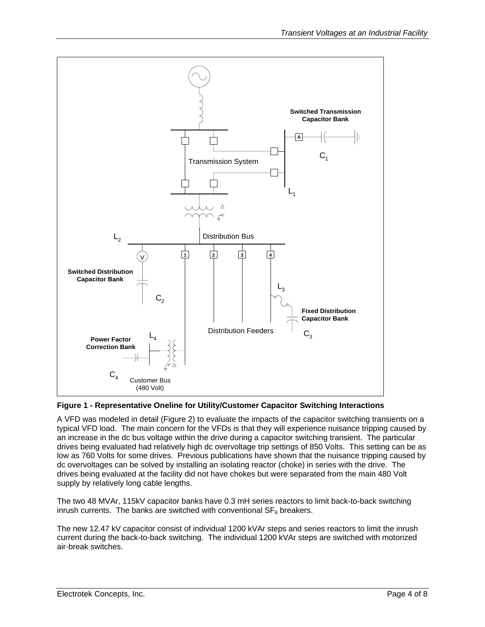<span id="page-3-1"></span><span id="page-3-0"></span>

**Figure 1 - Representative Oneline for Utility/Customer Capacitor Switching Interactions** 

A VFD was modeled in detail ([Figure 2\)](#page-4-1) to evaluate the impacts of the capacitor switching transients on a typical VFD load. The main concern for the VFDs is that they will experience nuisance tripping caused by an increase in the dc bus voltage within the drive during a capacitor switching transient. The particular drives being evaluated had relatively high dc overvoltage trip settings of 850 Volts. This setting can be as low as 760 Volts for some drives. Previous publications have shown that the nuisance tripping caused by dc overvoltages can be solved by installing an isolating reactor (choke) in series with the drive. The drives being evaluated at the facility did not have chokes but were separated from the main 480 Volt supply by relatively long cable lengths.

The two 48 MVAr, 115kV capacitor banks have 0.3 mH series reactors to limit back-to-back switching inrush currents. The banks are switched with conventional  $SF_6$  breakers.

The new 12.47 kV capacitor consist of individual 1200 kVAr steps and series reactors to limit the inrush current during the back-to-back switching. The individual 1200 kVAr steps are switched with motorized air-break switches.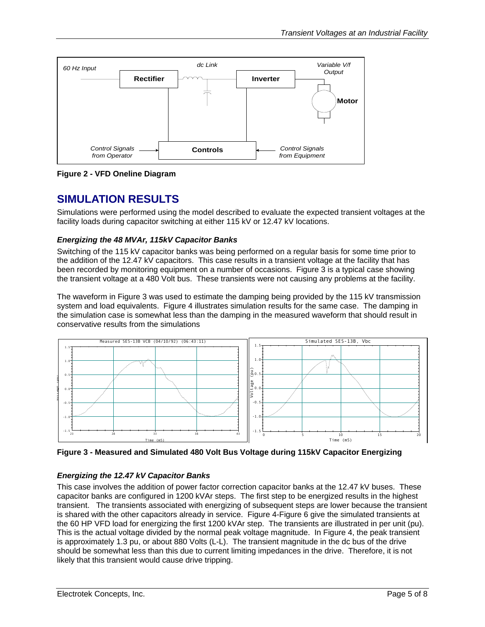<span id="page-4-1"></span><span id="page-4-0"></span>

**Figure 2 - VFD Oneline Diagram** 

# **SIMULATION RESULTS**

Simulations were performed using the model described to evaluate the expected transient voltages at the facility loads during capacitor switching at either 115 kV or 12.47 kV locations.

#### *Energizing the 48 MVAr, 115kV Capacitor Banks*

Switching of the 115 kV capacitor banks was being performed on a regular basis for some time prior to the addition of the 12.47 kV capacitors. This case results in a transient voltage at the facility that has been recorded by monitoring equipment on a number of occasions. [Figure 3](#page-4-2) is a typical case showing the transient voltage at a 480 Volt bus. These transients were not causing any problems at the facility.

The waveform in [Figure 3](#page-4-2) was used to estimate the damping being provided by the 115 kV transmission system and load equivalents. Figure 4 illustrates simulation results for the same case. The damping in the simulation case is somewhat less than the damping in the measured waveform that should result in conservative results from the simulations

<span id="page-4-2"></span>

**Figure 3 - Measured and Simulated 480 Volt Bus Voltage during 115kV Capacitor Energizing** 

#### *Energizing the 12.47 kV Capacitor Banks*

This case involves the addition of power factor correction capacitor banks at the 12.47 kV buses. These capacitor banks are configured in 1200 kVAr steps. The first step to be energized results in the highest transient. The transients associated with energizing of subsequent steps are lower because the transient is shared with the other capacitors already in service. [Figure 4-](#page-5-1)[Figure 6](#page-5-2) give the simulated transients at the 60 HP VFD load for energizing the first 1200 kVAr step. The transients are illustrated in per unit (pu). This is the actual voltage divided by the normal peak voltage magnitude. In [Figure 4,](#page-5-1) the peak transient is approximately 1.3 pu, or about 880 Volts (L-L). The transient magnitude in the dc bus of the drive should be somewhat less than this due to current limiting impedances in the drive. Therefore, it is not likely that this transient would cause drive tripping.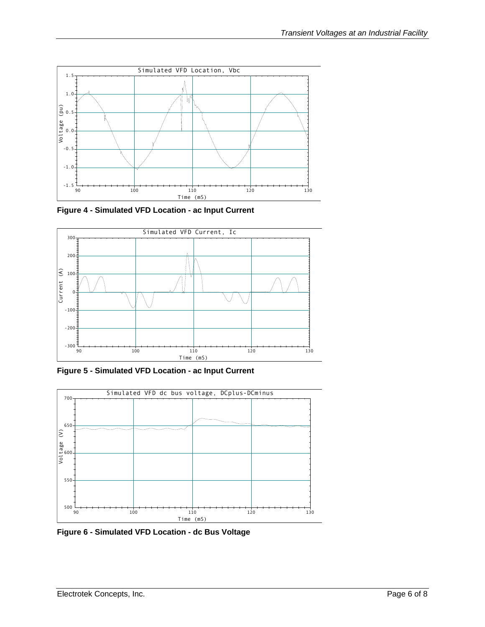<span id="page-5-1"></span><span id="page-5-0"></span>

**Figure 4 - Simulated VFD Location - ac Input Current** 



**Figure 5 - Simulated VFD Location - ac Input Current** 

<span id="page-5-2"></span>

**Figure 6 - Simulated VFD Location - dc Bus Voltage**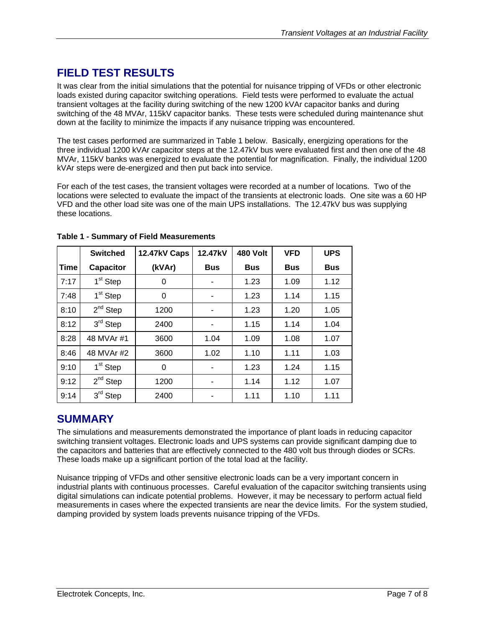# <span id="page-6-0"></span>**FIELD TEST RESULTS**

It was clear from the initial simulations that the potential for nuisance tripping of VFDs or other electronic loads existed during capacitor switching operations. Field tests were performed to evaluate the actual transient voltages at the facility during switching of the new 1200 kVAr capacitor banks and during switching of the 48 MVAr, 115kV capacitor banks. These tests were scheduled during maintenance shut down at the facility to minimize the impacts if any nuisance tripping was encountered.

The test cases performed are summarized in [Table 1](#page-6-1) below. Basically, energizing operations for the three individual 1200 kVAr capacitor steps at the 12.47kV bus were evaluated first and then one of the 48 MVAr, 115kV banks was energized to evaluate the potential for magnification. Finally, the individual 1200 kVAr steps were de-energized and then put back into service.

For each of the test cases, the transient voltages were recorded at a number of locations. Two of the locations were selected to evaluate the impact of the transients at electronic loads. One site was a 60 HP VFD and the other load site was one of the main UPS installations. The 12.47kV bus was supplying these locations.

|      | <b>Switched</b>      | 12.47kV Caps | 12.47kV    | 480 Volt   | <b>VFD</b> | <b>UPS</b> |
|------|----------------------|--------------|------------|------------|------------|------------|
| Time | Capacitor            | (kVAr)       | <b>Bus</b> | <b>Bus</b> | <b>Bus</b> | <b>Bus</b> |
| 7:17 | 1 <sup>st</sup> Step | 0            |            | 1.23       | 1.09       | 1.12       |
| 7:48 | 1 <sup>st</sup> Step | 0            |            | 1.23       | 1.14       | 1.15       |
| 8:10 | $2^{nd}$ Step        | 1200         |            | 1.23       | 1.20       | 1.05       |
| 8:12 | $3rd$ Step           | 2400         |            | 1.15       | 1.14       | 1.04       |
| 8:28 | 48 MVAr #1           | 3600         | 1.04       | 1.09       | 1.08       | 1.07       |
| 8:46 | 48 MVAr #2           | 3600         | 1.02       | 1.10       | 1.11       | 1.03       |
| 9:10 | 1 <sup>st</sup> Step | 0            |            | 1.23       | 1.24       | 1.15       |
| 9:12 | $2^{nd}$ Step        | 1200         |            | 1.14       | 1.12       | 1.07       |
| 9:14 | 3rd Step             | 2400         |            | 1.11       | 1.10       | 1.11       |

<span id="page-6-1"></span>**Table 1 - Summary of Field Measurements** 

## **SUMMARY**

The simulations and measurements demonstrated the importance of plant loads in reducing capacitor switching transient voltages. Electronic loads and UPS systems can provide significant damping due to the capacitors and batteries that are effectively connected to the 480 volt bus through diodes or SCRs. These loads make up a significant portion of the total load at the facility.

Nuisance tripping of VFDs and other sensitive electronic loads can be a very important concern in industrial plants with continuous processes. Careful evaluation of the capacitor switching transients using digital simulations can indicate potential problems. However, it may be necessary to perform actual field measurements in cases where the expected transients are near the device limits. For the system studied, damping provided by system loads prevents nuisance tripping of the VFDs.